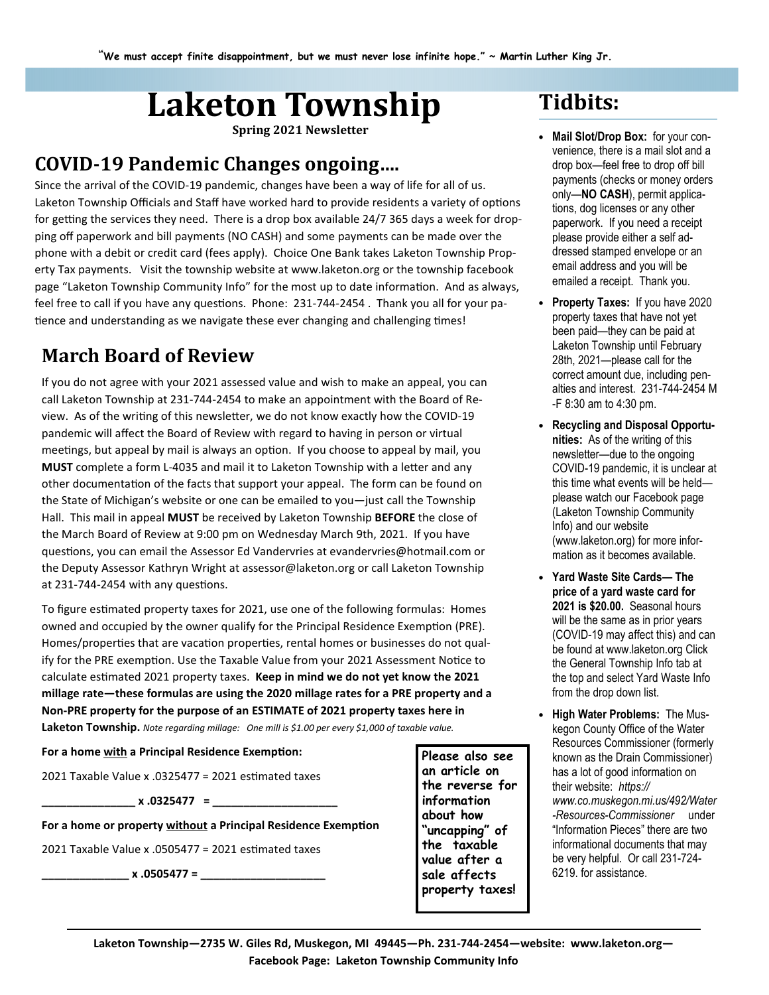# Laketon Township Tidbits:

Spring 2021 Newsletter 

### COVID-19 Pandemic Changes ongoing….

Since the arrival of the COVID-19 pandemic, changes have been a way of life for all of us. Laketon Township Officials and Staff have worked hard to provide residents a variety of options for getting the services they need. There is a drop box available 24/7 365 days a week for dropping off paperwork and bill payments (NO CASH) and some payments can be made over the phone with a debit or credit card (fees apply). Choice One Bank takes Laketon Township Property Tax payments. Visit the township website at www.laketon.org or the township facebook page "Laketon Township Community Info" for the most up to date information. And as always, feel free to call if you have any questions. Phone: 231-744-2454. Thank you all for your patience and understanding as we navigate these ever changing and challenging times!

### March Board of Review

If you do not agree with your 2021 assessed value and wish to make an appeal, you can call Laketon Township at 231-744-2454 to make an appointment with the Board of Review. As of the writing of this newsletter, we do not know exactly how the COVID-19 pandemic will affect the Board of Review with regard to having in person or virtual meetings, but appeal by mail is always an option. If you choose to appeal by mail, you MUST complete a form L-4035 and mail it to Laketon Township with a letter and any other documenta'on of the facts that support your appeal. The form can be found on the State of Michigan's website or one can be emailed to you—just call the Township Hall. This mail in appeal MUST be received by Laketon Township BEFORE the close of the March Board of Review at 9:00 pm on Wednesday March 9th, 2021. If you have guestions, you can email the Assessor Ed Vandervries at evandervries@hotmail.com or the Deputy Assessor Kathryn Wright at assessor@laketon.org or call Laketon Township at 231-744-2454 with any questions.

To figure estimated property taxes for 2021, use one of the following formulas: Homes owned and occupied by the owner qualify for the Principal Residence Exemption (PRE). Homes/properties that are vacation properties, rental homes or businesses do not qualify for the PRE exemption. Use the Taxable Value from your 2021 Assessment Notice to calculate estimated 2021 property taxes. Keep in mind we do not yet know the 2021 millage rate—these formulas are using the 2020 millage rates for a PRE property and a Non-PRE property for the purpose of an ESTIMATE of 2021 property taxes here in Laketon Township. Note regarding millage: One mill is \$1.00 per every \$1,000 of taxable value.

For a home with a Principal Residence Exemption:

2021 Taxable Value x  $.0325477 = 2021$  estimated taxes

\_\_\_\_\_\_\_\_\_\_\_\_\_\_\_ x .0325477 = \_\_\_\_\_\_\_\_\_\_\_\_\_\_\_\_\_\_\_\_

For a home or property without a Principal Residence Exemption

2021 Taxable Value x .0505477 = 2021 estimated taxes

 $x \cdot 0505477 =$ 

Please also see an article on the reverse for information about how "uncapping" of the taxable value after a sale affects property taxes!

- Mail Slot/Drop Box: for your convenience, there is a mail slot and a drop box—feel free to drop off bill payments (checks or money orders only—NO CASH), permit applications, dog licenses or any other paperwork. If you need a receipt please provide either a self addressed stamped envelope or an email address and you will be emailed a receipt. Thank you.
- Property Taxes: If you have 2020 property taxes that have not yet been paid—they can be paid at Laketon Township until February 28th, 2021—please call for the correct amount due, including penalties and interest. 231-744-2454 M -F 8:30 am to 4:30 pm.
- Recycling and Disposal Opportunities: As of the writing of this newsletter—due to the ongoing COVID-19 pandemic, it is unclear at this time what events will be held please watch our Facebook page (Laketon Township Community Info) and our website (www.laketon.org) for more information as it becomes available.
- Yard Waste Site Cards— The price of a yard waste card for 2021 is \$20.00. Seasonal hours will be the same as in prior years (COVID-19 may affect this) and can be found at www.laketon.org Click the General Township Info tab at the top and select Yard Waste Info from the drop down list.
- High Water Problems: The Muskegon County Office of the Water Resources Commissioner (formerly known as the Drain Commissioner) has a lot of good information on their website: https:// www.co.muskegon.mi.us/492/Water -Resources-Commissioner under "Information Pieces" there are two informational documents that may be very helpful. Or call 231-724- 6219. for assistance.

Laketon Township—2735 W. Giles Rd, Muskegon, MI 49445—Ph. 231-744-2454—website: www.laketon.org— Facebook Page: Laketon Township Community Info